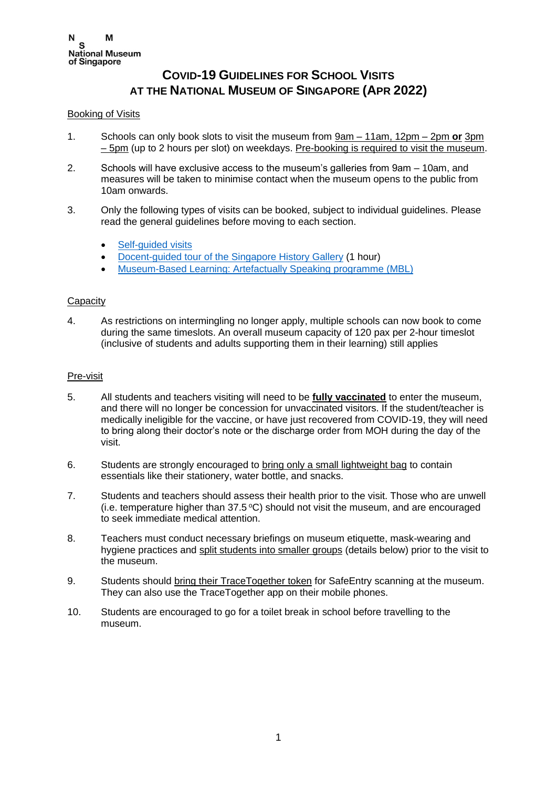# **COVID-19 GUIDELINES FOR SCHOOL VISITS AT THE NATIONAL MUSEUM OF SINGAPORE (APR 2022)**

## Booking of Visits

- 1. Schools can only book slots to visit the museum from 9am 11am, 12pm 2pm **or** 3pm  $-5$ pm (up to 2 hours per slot) on weekdays. Pre-booking is required to visit the museum.
- 2. Schools will have exclusive access to the museum's galleries from 9am 10am, and measures will be taken to minimise contact when the museum opens to the public from 10am onwards.
- 3. Only the following types of visits can be booked, subject to individual guidelines. Please read the general guidelines before moving to each section.
	- Self-quided visits
	- [Docent-guided tour of the Singapore History Gallery](#page-1-1) (1 hour)
	- [Museum-Based Learning: Artefactually Speaking programme](#page-1-2) (MBL)

## **Capacity**

4. As restrictions on intermingling no longer apply, multiple schools can now book to come during the same timeslots. An overall museum capacity of 120 pax per 2-hour timeslot (inclusive of students and adults supporting them in their learning) still applies

## Pre-visit

- 5. All students and teachers visiting will need to be **fully vaccinated** to enter the museum, and there will no longer be concession for unvaccinated visitors. If the student/teacher is medically ineligible for the vaccine, or have just recovered from COVID-19, they will need to bring along their doctor's note or the discharge order from MOH during the day of the visit.
- 6. Students are strongly encouraged to bring only a small lightweight bag to contain essentials like their stationery, water bottle, and snacks.
- 7. Students and teachers should assess their health prior to the visit. Those who are unwell (i.e. temperature higher than  $37.5^{\circ}$ C) should not visit the museum, and are encouraged to seek immediate medical attention.
- 8. Teachers must conduct necessary briefings on museum etiquette, mask-wearing and hygiene practices and split students into smaller groups (details below) prior to the visit to the museum.
- 9. Students should bring their TraceTogether token for SafeEntry scanning at the museum. They can also use the TraceTogether app on their mobile phones.
- 10. Students are encouraged to go for a toilet break in school before travelling to the museum.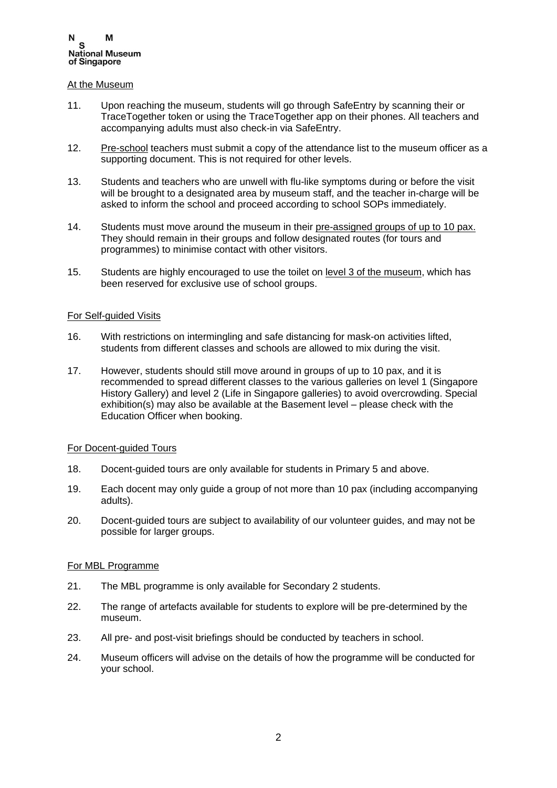#### At the Museum

- 11. Upon reaching the museum, students will go through SafeEntry by scanning their or TraceTogether token or using the TraceTogether app on their phones. All teachers and accompanying adults must also check-in via SafeEntry.
- 12. Pre-school teachers must submit a copy of the attendance list to the museum officer as a supporting document. This is not required for other levels.
- 13. Students and teachers who are unwell with flu-like symptoms during or before the visit will be brought to a designated area by museum staff, and the teacher in-charge will be asked to inform the school and proceed according to school SOPs immediately.
- 14. Students must move around the museum in their pre-assigned groups of up to 10 pax. They should remain in their groups and follow designated routes (for tours and programmes) to minimise contact with other visitors.
- 15. Students are highly encouraged to use the toilet on level 3 of the museum, which has been reserved for exclusive use of school groups.

### <span id="page-1-0"></span>For Self-guided Visits

- 16. With restrictions on intermingling and safe distancing for mask-on activities lifted, students from different classes and schools are allowed to mix during the visit.
- 17. However, students should still move around in groups of up to 10 pax, and it is recommended to spread different classes to the various galleries on level 1 (Singapore History Gallery) and level 2 (Life in Singapore galleries) to avoid overcrowding. Special exhibition(s) may also be available at the Basement level – please check with the Education Officer when booking.

## <span id="page-1-1"></span>For Docent-guided Tours

- 18. Docent-guided tours are only available for students in Primary 5 and above.
- 19. Each docent may only guide a group of not more than 10 pax (including accompanying adults).
- 20. Docent-guided tours are subject to availability of our volunteer guides, and may not be possible for larger groups.

#### <span id="page-1-2"></span>For MBL Programme

- 21. The MBL programme is only available for Secondary 2 students.
- 22. The range of artefacts available for students to explore will be pre-determined by the museum.
- 23. All pre- and post-visit briefings should be conducted by teachers in school.
- 24. Museum officers will advise on the details of how the programme will be conducted for your school.